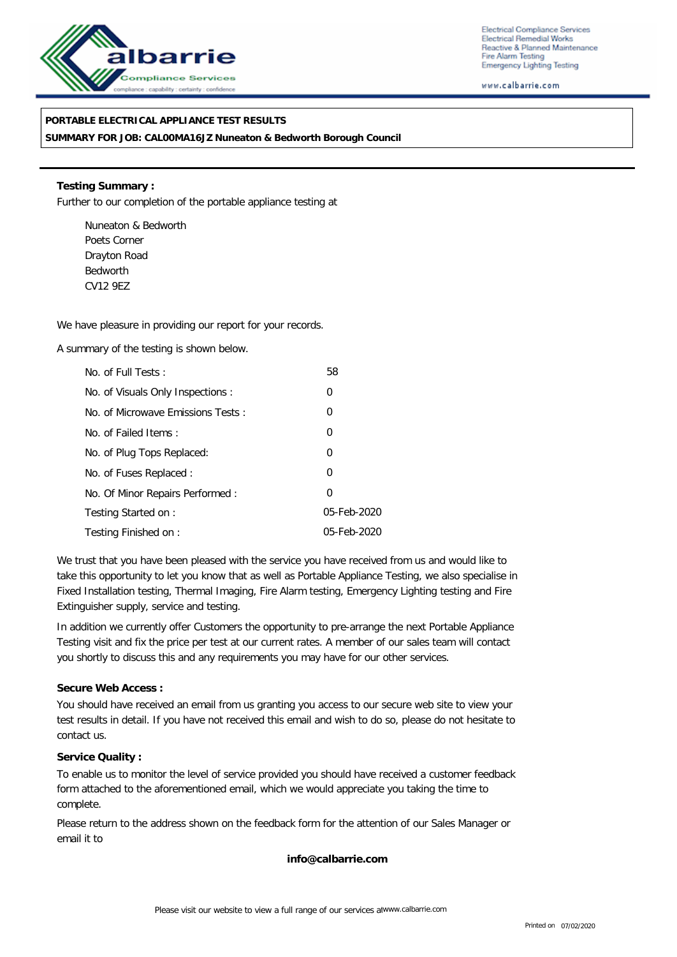

Electrical Compliance Services Electrical Remedial Works Reactive & Planned Maintenance Fire Alarm Testing **Emergency Lighting Testing** 

www.calbarrie.com

#### **PORTABLE ELECTRICAL APPLIANCE TEST RESULTS**

**SUMMARY FOR JOB: CAL00MA16JZ Nuneaton & Bedworth Borough Council**

**Testing Summary :** Further to our completion of the portable appliance testing at

Nuneaton & Bedworth Poets Corner Drayton Road Bedworth CV12 9EZ

We have pleasure in providing our report for your records.

A summary of the testing is shown below.

| No. of Full Tests:                | 58             |
|-----------------------------------|----------------|
| No. of Visuals Only Inspections : | $\overline{0}$ |
| No. of Microwave Emissions Tests: | 0              |
| No. of Failed Items:              | 0              |
| No. of Plug Tops Replaced:        | 0              |
| No. of Fuses Replaced:            | 0              |
| No. Of Minor Repairs Performed:   | 0              |
| Testing Started on:               | 05-Feb-2020    |
| Testing Finished on:              | 05-Feb-2020    |

We trust that you have been pleased with the service you have received from us and would like to take this opportunity to let you know that as well as Portable Appliance Testing, we also specialise in Fixed Installation testing, Thermal Imaging, Fire Alarm testing, Emergency Lighting testing and Fire Extinguisher supply, service and testing.

In addition we currently offer Customers the opportunity to pre-arrange the next Portable Appliance Testing visit and fix the price per test at our current rates. A member of our sales team will contact you shortly to discuss this and any requirements you may have for our other services.

**Secure Web Access :**

You should have received an email from us granting you access to our secure web site to view your test results in detail. If you have not received this email and wish to do so, please do not hesitate to contact us.

**Service Quality :**

To enable us to monitor the level of service provided you should have received a customer feedback form attached to the aforementioned email, which we would appreciate you taking the time to complete.

Please return to the address shown on the feedback form for the attention of our Sales Manager or email it to

**info@calbarrie.com**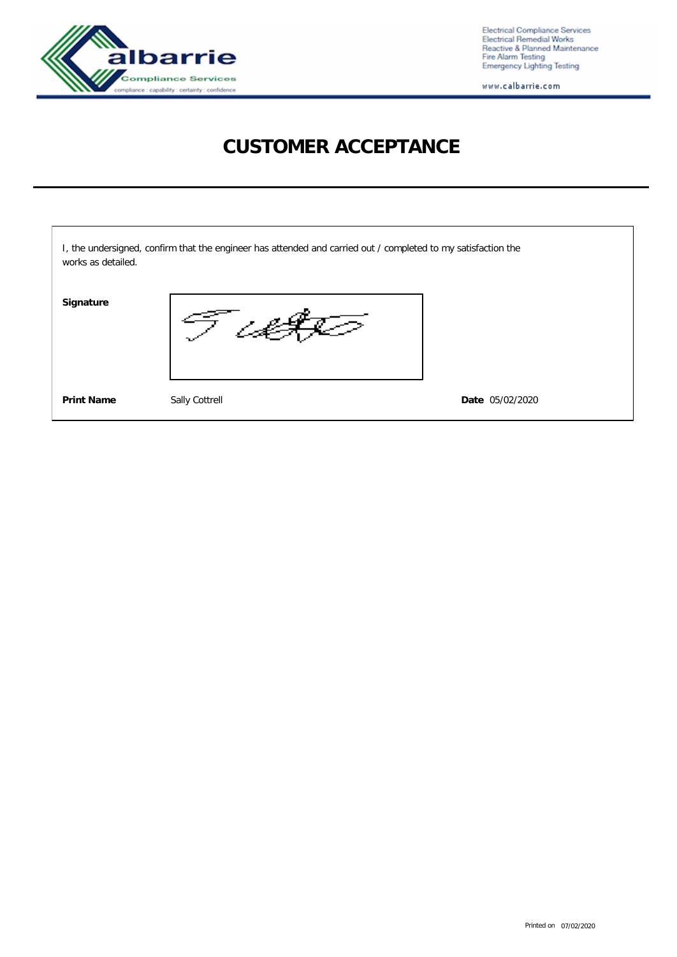

Electrical Compliance Services<br>Electrical Remedial Works<br>Reactive & Planned Maintenance<br>Fire Alarm Testing<br>Emergency Lighting Testing

www.calbarrie.com

# **CUSTOMER ACCEPTANCE**

| works as detailed. | I, the undersigned, confirm that the engineer has attended and carried out / completed to my satisfaction the |                 |
|--------------------|---------------------------------------------------------------------------------------------------------------|-----------------|
| Signature          |                                                                                                               |                 |
| <b>Print Name</b>  | Sally Cottrell                                                                                                | Date 05/02/2020 |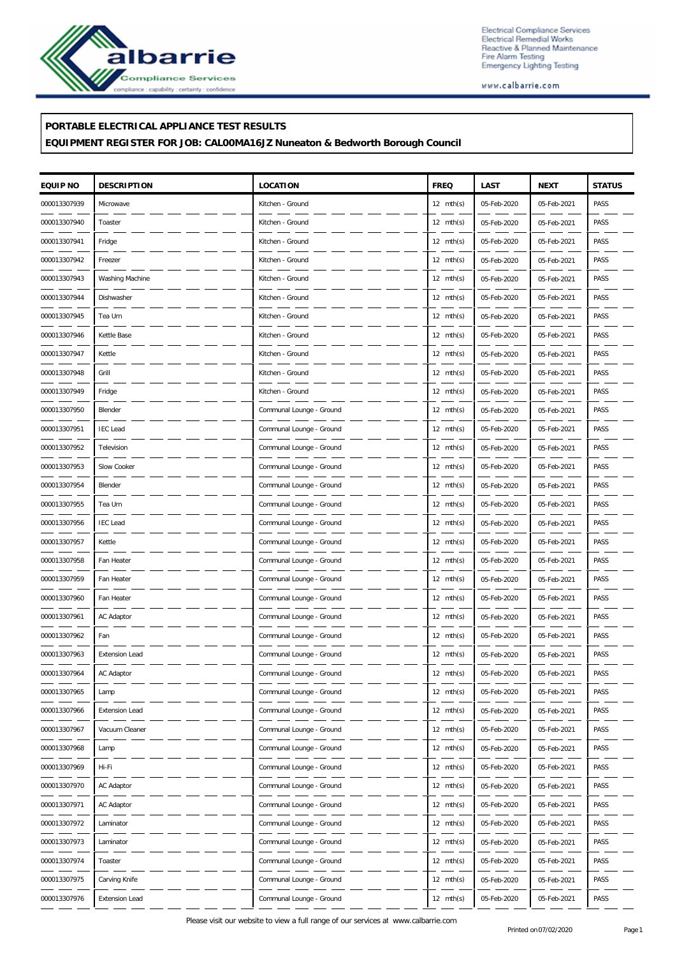

Electrical Compliance Services<br>Electrical Remedial Works<br>Reactive & Planned Maintenance<br>Fire Alarm Testing<br>Emergency Lighting Testing

www.calbarrie.com

#### **PORTABLE ELECTRICAL APPLIANCE TEST RESULTS**

### **EQUIPMENT REGISTER FOR JOB: CAL00MA16JZ Nuneaton & Bedworth Borough Council**

| EQUIP NO     | <b>DESCRIPTION</b>    | LOCATION                 | <b>FREQ</b>         | LAST        | <b>NEXT</b> | <b>STATUS</b> |
|--------------|-----------------------|--------------------------|---------------------|-------------|-------------|---------------|
| 000013307939 | Microwave             | Kitchen - Ground         | 12 $mth(s)$         | 05-Feb-2020 | 05-Feb-2021 | PASS          |
| 000013307940 | Toaster               | Kitchen - Ground         | $12 \text{ mth(s)}$ | 05-Feb-2020 | 05-Feb-2021 | PASS          |
| 000013307941 | Fridge                | Kitchen - Ground         | 12 $mth(s)$         | 05-Feb-2020 | 05-Feb-2021 | PASS          |
| 000013307942 | Freezer               | Kitchen - Ground         | 12 $mth(s)$         | 05-Feb-2020 | 05-Feb-2021 | PASS          |
| 000013307943 | Washing Machine       | Kitchen - Ground         | $12 \text{ mth(s)}$ | 05-Feb-2020 | 05-Feb-2021 | PASS          |
| 000013307944 | Dishwasher            | Kitchen - Ground         | $12 \text{ mth(s)}$ | 05-Feb-2020 | 05-Feb-2021 | PASS          |
| 000013307945 | Tea Urn               | Kitchen - Ground         | 12 $mth(s)$         | 05-Feb-2020 | 05-Feb-2021 | PASS          |
| 000013307946 | Kettle Base           | Kitchen - Ground         | 12 $mth(s)$         | 05-Feb-2020 | 05-Feb-2021 | PASS          |
| 000013307947 | Kettle                | Kitchen - Ground         | $12 \text{ mth(s)}$ | 05-Feb-2020 | 05-Feb-2021 | PASS          |
| 000013307948 | Grill                 | Kitchen - Ground         | $12 \text{ mth(s)}$ | 05-Feb-2020 | 05-Feb-2021 | PASS          |
| 000013307949 | Fridge                | Kitchen - Ground         | 12 $mth(s)$         | 05-Feb-2020 | 05-Feb-2021 | PASS          |
| 000013307950 | Blender               | Communal Lounge - Ground | 12 $mth(s)$         | 05-Feb-2020 | 05-Feb-2021 | PASS          |
| 000013307951 | <b>IEC</b> Lead       | Communal Lounge - Ground | $12 \text{ mth(s)}$ | 05-Feb-2020 | 05-Feb-2021 | PASS          |
| 000013307952 | Television            | Communal Lounge - Ground | $12 \text{ mth(s)}$ | 05-Feb-2020 | 05-Feb-2021 | PASS          |
| 000013307953 | Slow Cooker           | Communal Lounge - Ground | 12 $mth(s)$         | 05-Feb-2020 | 05-Feb-2021 | PASS          |
| 000013307954 | Blender               | Communal Lounge - Ground | $12 \text{ mth(s)}$ | 05-Feb-2020 | 05-Feb-2021 | PASS          |
| 000013307955 | Tea Urn               | Communal Lounge - Ground | $12 \text{ mth(s)}$ | 05-Feb-2020 | 05-Feb-2021 | PASS          |
| 000013307956 | <b>IEC</b> Lead       | Communal Lounge - Ground | $12 \text{ mth(s)}$ | 05-Feb-2020 | 05-Feb-2021 | PASS          |
| 000013307957 | Kettle                | Communal Lounge - Ground | $12 \text{ mth(s)}$ | 05-Feb-2020 | 05-Feb-2021 | PASS          |
| 000013307958 | Fan Heater            | Communal Lounge - Ground | $12 \text{ mth(s)}$ | 05-Feb-2020 | 05-Feb-2021 | PASS          |
| 000013307959 | Fan Heater            | Communal Lounge - Ground | $12 \text{ mth(s)}$ | 05-Feb-2020 | 05-Feb-2021 | PASS          |
| 000013307960 | Fan Heater            | Communal Lounge - Ground | $12 \text{ mth(s)}$ | 05-Feb-2020 | 05-Feb-2021 | PASS          |
| 000013307961 | AC Adaptor            | Communal Lounge - Ground | 12 $mth(s)$         | 05-Feb-2020 | 05-Feb-2021 | PASS          |
| 000013307962 | Fan                   | Communal Lounge - Ground | $12 \text{ mth(s)}$ | 05-Feb-2020 | 05-Feb-2021 | PASS          |
| 000013307963 | <b>Extension Lead</b> | Communal Lounge - Ground | $12 \text{ mth(s)}$ | 05-Feb-2020 | 05-Feb-2021 | PASS          |
| 000013307964 | AC Adaptor            | Communal Lounge - Ground | $12 \text{ mth(s)}$ | 05-Feb-2020 | 05-Feb-2021 | PASS          |
| 000013307965 | Lamp                  | Communal Lounge - Ground | $12 \text{ mth(s)}$ | 05-Feb-2020 | 05-Feb-2021 | PASS          |
| 000013307966 | <b>Extension Lead</b> | Communal Lounge - Ground | $12 \text{ mth(s)}$ | 05-Feb-2020 | 05-Feb-2021 | PASS          |
| 000013307967 | Vacuum Cleaner        | Communal Lounge - Ground | 12 $mth(s)$         | 05-Feb-2020 | 05-Feb-2021 | PASS          |
| 000013307968 | Lamp                  | Communal Lounge - Ground | 12 $mth(s)$         | 05-Feb-2020 | 05-Feb-2021 | PASS          |
| 000013307969 | Hi-Fi                 | Communal Lounge - Ground | $12 \text{ mth(s)}$ | 05-Feb-2020 | 05-Feb-2021 | PASS          |
| 000013307970 | AC Adaptor            | Communal Lounge - Ground | 12 $mth(s)$         | 05-Feb-2020 | 05-Feb-2021 | PASS          |
| 000013307971 | AC Adaptor            | Communal Lounge - Ground | 12 $mth(s)$         | 05-Feb-2020 | 05-Feb-2021 | PASS          |
| 000013307972 | Laminator             | Communal Lounge - Ground | 12 $mth(s)$         | 05-Feb-2020 | 05-Feb-2021 | PASS          |
| 000013307973 | Laminator             | Communal Lounge - Ground | $12 \text{ mth(s)}$ | 05-Feb-2020 | 05-Feb-2021 | PASS          |
| 000013307974 | Toaster               | Communal Lounge - Ground | 12 $mth(s)$         | 05-Feb-2020 | 05-Feb-2021 | PASS          |
| 000013307975 | Carving Knife         | Communal Lounge - Ground | 12 $mth(s)$         | 05-Feb-2020 | 05-Feb-2021 | PASS          |
| 000013307976 | Extension Lead        | Communal Lounge - Ground | 12 $mth(s)$         | 05-Feb-2020 | 05-Feb-2021 | PASS          |

Please visit our website to view a full range of our services at www.calbarrie.com<br>
Printed on07/02/2020<br>
Printed on07/02/2020